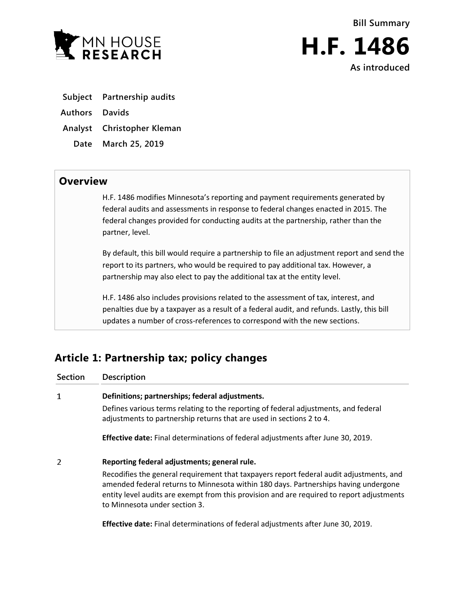



**As introduced**

**Subject Partnership audits**

**Authors Davids**

**Analyst Christopher Kleman**

**Date March 25, 2019**

## **Overview**

H.F. 1486 modifies Minnesota's reporting and payment requirements generated by federal audits and assessments in response to federal changes enacted in 2015. The federal changes provided for conducting audits at the partnership, rather than the partner, level.

By default, this bill would require a partnership to file an adjustment report and send the report to its partners, who would be required to pay additional tax. However, a partnership may also elect to pay the additional tax at the entity level.

H.F. 1486 also includes provisions related to the assessment of tax, interest, and penalties due by a taxpayer as a result of a federal audit, and refunds. Lastly, this bill updates a number of cross-references to correspond with the new sections.

# **Article 1: Partnership tax; policy changes**

| <b>Section</b> | <b>Description</b>                                                                                                                                                                                                                                                                                           |
|----------------|--------------------------------------------------------------------------------------------------------------------------------------------------------------------------------------------------------------------------------------------------------------------------------------------------------------|
| 1              | Definitions; partnerships; federal adjustments.                                                                                                                                                                                                                                                              |
|                | Defines various terms relating to the reporting of federal adjustments, and federal<br>adjustments to partnership returns that are used in sections 2 to 4.                                                                                                                                                  |
|                | <b>Effective date:</b> Final determinations of federal adjustments after June 30, 2019.                                                                                                                                                                                                                      |
| 2              | Reporting federal adjustments; general rule.                                                                                                                                                                                                                                                                 |
|                | Recodifies the general requirement that taxpayers report federal audit adjustments, and<br>amended federal returns to Minnesota within 180 days. Partnerships having undergone<br>entity level audits are exempt from this provision and are required to report adjustments<br>to Minnesota under section 3. |
|                | <b>Effective date:</b> Final determinations of federal adjustments after June 30, 2019.                                                                                                                                                                                                                      |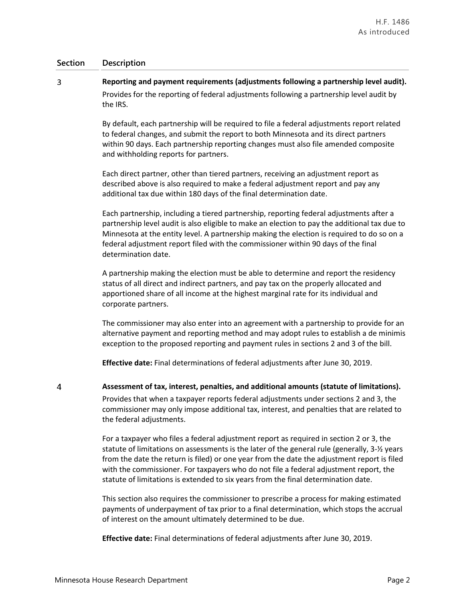### **Section Description**

 $\overline{3}$ 

### **Reporting and payment requirements (adjustments following a partnership level audit).** Provides for the reporting of federal adjustments following a partnership level audit by the IRS.

By default, each partnership will be required to file a federal adjustments report related to federal changes, and submit the report to both Minnesota and its direct partners within 90 days. Each partnership reporting changes must also file amended composite and withholding reports for partners.

Each direct partner, other than tiered partners, receiving an adjustment report as described above is also required to make a federal adjustment report and pay any additional tax due within 180 days of the final determination date.

Each partnership, including a tiered partnership, reporting federal adjustments after a partnership level audit is also eligible to make an election to pay the additional tax due to Minnesota at the entity level. A partnership making the election is required to do so on a federal adjustment report filed with the commissioner within 90 days of the final determination date.

A partnership making the election must be able to determine and report the residency status of all direct and indirect partners, and pay tax on the properly allocated and apportioned share of all income at the highest marginal rate for its individual and corporate partners.

The commissioner may also enter into an agreement with a partnership to provide for an alternative payment and reporting method and may adopt rules to establish a de minimis exception to the proposed reporting and payment rules in sections 2 and 3 of the bill.

**Effective date:** Final determinations of federal adjustments after June 30, 2019.

4

**Assessment of tax, interest, penalties, and additional amounts (statute of limitations).**

Provides that when a taxpayer reports federal adjustments under sections 2 and 3, the commissioner may only impose additional tax, interest, and penalties that are related to the federal adjustments.

For a taxpayer who files a federal adjustment report as required in section 2 or 3, the statute of limitations on assessments is the later of the general rule (generally, 3-½ years from the date the return is filed) or one year from the date the adjustment report is filed with the commissioner. For taxpayers who do not file a federal adjustment report, the statute of limitations is extended to six years from the final determination date.

This section also requires the commissioner to prescribe a process for making estimated payments of underpayment of tax prior to a final determination, which stops the accrual of interest on the amount ultimately determined to be due.

**Effective date:** Final determinations of federal adjustments after June 30, 2019.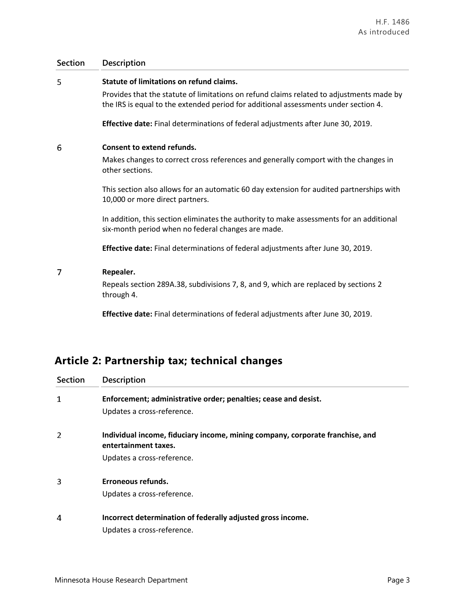### **Section Description**

#### 5 **Statute of limitations on refund claims.**

Provides that the statute of limitations on refund claims related to adjustments made by the IRS is equal to the extended period for additional assessments under section 4.

**Effective date:** Final determinations of federal adjustments after June 30, 2019.

#### 6 **Consent to extend refunds.**

Makes changes to correct cross references and generally comport with the changes in other sections.

This section also allows for an automatic 60 day extension for audited partnerships with 10,000 or more direct partners.

In addition, this section eliminates the authority to make assessments for an additional six-month period when no federal changes are made.

**Effective date:** Final determinations of federal adjustments after June 30, 2019.

#### $\overline{7}$ **Repealer.**

Repeals section 289A.38, subdivisions 7, 8, and 9, which are replaced by sections 2 through 4.

**Effective date:** Final determinations of federal adjustments after June 30, 2019.

# **Article 2: Partnership tax; technical changes**

| <b>Section</b> | <b>Description</b>                                                                                    |
|----------------|-------------------------------------------------------------------------------------------------------|
| 1              | Enforcement; administrative order; penalties; cease and desist.                                       |
|                | Updates a cross-reference.                                                                            |
| 2              | Individual income, fiduciary income, mining company, corporate franchise, and<br>entertainment taxes. |
|                | Updates a cross-reference.                                                                            |
| 3              | Erroneous refunds.                                                                                    |
|                | Updates a cross-reference.                                                                            |
| 4              | Incorrect determination of federally adjusted gross income.                                           |
|                | Updates a cross-reference.                                                                            |